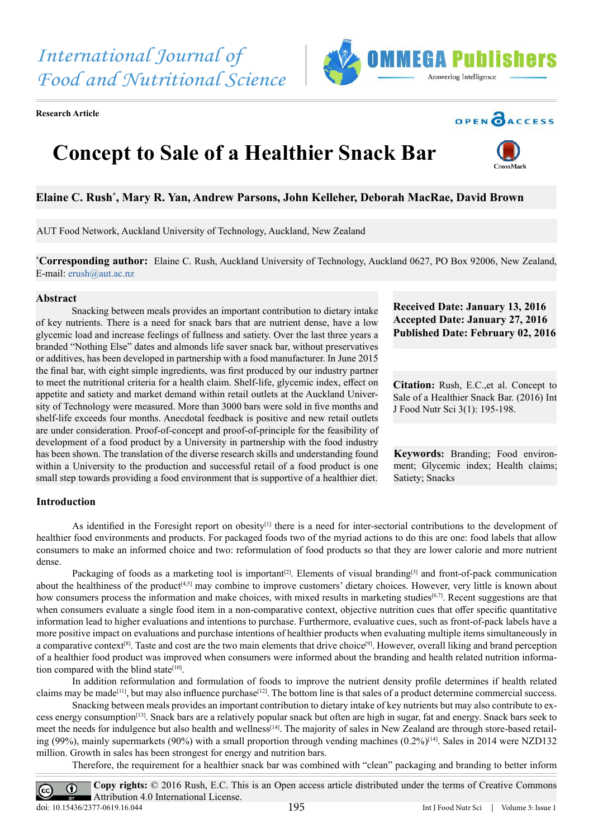*International Journal of Food and Nutritional Science*

**Research Article**





# **Concept to Sale of a Healthier Snack Bar**



# **Elaine C. Rush\* , Mary R. Yan, Andrew Parsons, John Kelleher, Deborah MacRae, David Brown**

AUT Food Network, Auckland University of Technology, Auckland, New Zealand

**\* Corresponding author:** Elaine C. Rush, Auckland University of Technology, Auckland 0627, PO Box 92006, New Zealand, E-mail: [erush@aut.ac.nz](mailto:erush%40aut.ac.nz?subject=)

#### **Abstract**

Snacking between meals provides an important contribution to dietary intake of key nutrients. There is a need for snack bars that are nutrient dense, have a low glycemic load and increase feelings of fullness and satiety. Over the last three years a branded "Nothing Else" dates and almonds life saver snack bar, without preservatives or additives, has been developed in partnership with a food manufacturer. In June 2015 the final bar, with eight simple ingredients, was first produced by our industry partner to meet the nutritional criteria for a health claim. Shelf-life, glycemic index, effect on appetite and satiety and market demand within retail outlets at the Auckland University of Technology were measured. More than 3000 bars were sold in five months and shelf-life exceeds four months. Anecdotal feedback is positive and new retail outlets are under consideration. Proof-of-concept and proof-of-principle for the feasibility of development of a food product by a University in partnership with the food industry has been shown. The translation of the diverse research skills and understanding found within a University to the production and successful retail of a food product is one small step towards providing a food environment that is supportive of a healthier diet.

**Received Date: January 13, 2016 Accepted Date: January 27, 2016 Published Date: February 02, 2016**

**Citation:** Rush, E.C.,et al. Concept to Sale of a Healthier Snack Bar. (2016) Int J Food Nutr Sci 3(1): 195-198.

**Keywords:** Branding; Food environment; Glycemic index; Health claims; Satiety; Snacks

# **Introduction**

As identified in the Foresight report on obesity<sup>[\[1\]](#page-2-0)</sup> there is a need for inter-sectorial contributions to the development of healthier food environments and products. For packaged foods two of the myriad actions to do this are one: food labels that allow consumers to make an informed choice and two: reformulation of food products so that they are lower calorie and more nutrient dense.

Packaging of foods as a marketing tool is important<sup>[2]</sup>. Elements of visual branding<sup>[\[3\]](#page-2-2)</sup> and front-of-pack communication about the healthiness of the product<sup>[4,5]</sup> may combine to improve customers' dietary choices. However, very little is known about how consumers process the information and make choices, with mixed results in marketing studies<sup>[6,7]</sup>. Recent suggestions are that when consumers evaluate a single food item in a non-comparative context, objective nutrition cues that offer specific quantitative information lead to higher evaluations and intentions to purchase. Furthermore, evaluative cues, such as front-of-pack labels have a more positive impact on evaluations and purchase intentions of healthier products when evaluating multiple items simultaneously in a comparative context<sup>[8]</sup>. Taste and cost are the two main elements that drive choice<sup>[9]</sup>. However, overall liking and brand perception of a healthier food product was improved when consumers were informed about the branding and health related nutrition information compared with the blind state $[10]$ .

In addition reformulation and formulation of foods to improve the nutrient density profile determines if health related claims may be made<sup>[11]</sup>, but may also influence purchase<sup>[\[12\]](#page-3-4)</sup>. The bottom line is that sales of a product determine commercial success.

Snacking between meals provides an important contribution to dietary intake of key nutrients but may also contribute to excess energy consumptio[n\[13\]](#page-3-5). Snack bars are a relatively popular snack but often are high in sugar, fat and energy. Snack bars seek to meet the needs for indulgence but also health and wellnes[s\[14\].](#page-3-6) The majority of sales in New Zealand are through store-based retailing (99%), mainly supermarkets (90%) with a small proportion through vending machines  $(0.2\%)^{[14]}$  $(0.2\%)^{[14]}$  $(0.2\%)^{[14]}$ . Sales in 2014 were NZD132 million. Growth in sales has been strongest for energy and nutrition bars.

Therefore, the requirement for a healthier snack bar was combined with "clean" packaging and branding to better inform

**Copy rights:** © 2016 Rush, E.C. This is an Open access article distributed under the terms of Creative Commons  $\odot$ Attribution 4.0 International License. doi: 10.15436/2377-0619.16.044 195 Int J Food Nutr Sci | Volume 3: Issue 1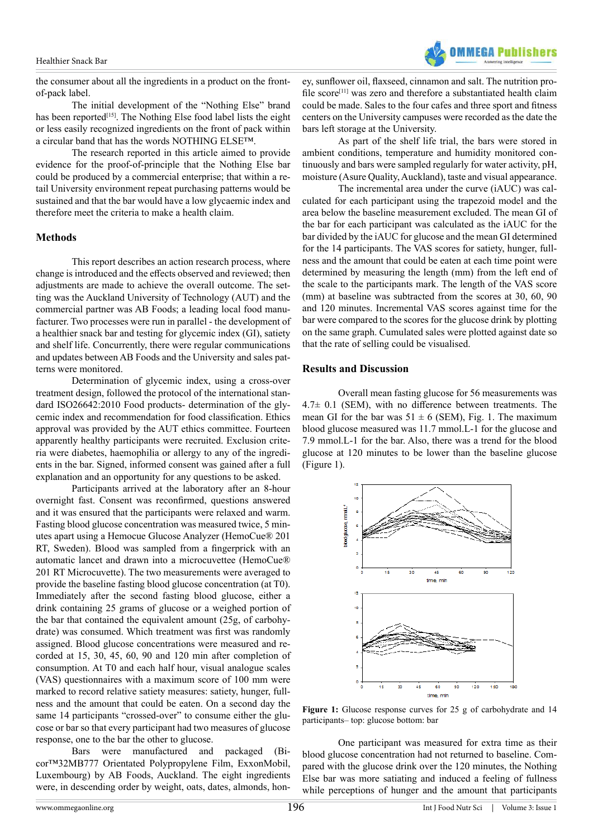

the consumer about all the ingredients in a product on the frontof-pack label.

The initial development of the "Nothing Else" brand has been reported<sup>[15]</sup>. The Nothing Else food label lists the eight or less easily recognized ingredients on the front of pack within a circular band that has the words NOTHING ELSE™.

The research reported in this article aimed to provide evidence for the proof-of-principle that the Nothing Else bar could be produced by a commercial enterprise; that within a retail University environment repeat purchasing patterns would be sustained and that the bar would have a low glycaemic index and therefore meet the criteria to make a health claim.

# **Methods**

This report describes an action research process, where change is introduced and the effects observed and reviewed; then adjustments are made to achieve the overall outcome. The setting was the Auckland University of Technology (AUT) and the commercial partner was AB Foods; a leading local food manufacturer. Two processes were run in parallel - the development of a healthier snack bar and testing for glycemic index (GI), satiety and shelf life. Concurrently, there were regular communications and updates between AB Foods and the University and sales patterns were monitored.

Determination of glycemic index, using a cross-over treatment design, followed the protocol of the international standard ISO26642:2010 Food products- determination of the glycemic index and recommendation for food classification. Ethics approval was provided by the AUT ethics committee. Fourteen apparently healthy participants were recruited. Exclusion criteria were diabetes, haemophilia or allergy to any of the ingredients in the bar. Signed, informed consent was gained after a full explanation and an opportunity for any questions to be asked.

Participants arrived at the laboratory after an 8-hour overnight fast. Consent was reconfirmed, questions answered and it was ensured that the participants were relaxed and warm. Fasting blood glucose concentration was measured twice, 5 minutes apart using a Hemocue Glucose Analyzer (HemoCue® 201 RT, Sweden). Blood was sampled from a fingerprick with an automatic lancet and drawn into a microcuvettee (HemoCue® 201 RT Microcuvette). The two measurements were averaged to provide the baseline fasting blood glucose concentration (at T0). Immediately after the second fasting blood glucose, either a drink containing 25 grams of glucose or a weighed portion of the bar that contained the equivalent amount (25g, of carbohydrate) was consumed. Which treatment was first was randomly assigned. Blood glucose concentrations were measured and recorded at 15, 30, 45, 60, 90 and 120 min after completion of consumption. At T0 and each half hour, visual analogue scales (VAS) questionnaires with a maximum score of 100 mm were marked to record relative satiety measures: satiety, hunger, fullness and the amount that could be eaten. On a second day the same 14 participants "crossed-over" to consume either the glucose or bar so that every participant had two measures of glucose response, one to the bar the other to glucose.

Bars were manufactured and packaged (Bicor™32MB777 Orientated Polypropylene Film, ExxonMobil, Luxembourg) by AB Foods, Auckland. The eight ingredients were, in descending order by weight, oats, dates, almonds, hon-

ey, sunflower oil, flaxseed, cinnamon and salt. The nutrition profile score<sup>[11]</sup> was zero and therefore a substantiated health claim could be made. Sales to the four cafes and three sport and fitness centers on the University campuses were recorded as the date the bars left storage at the University.

As part of the shelf life trial, the bars were stored in ambient conditions, temperature and humidity monitored continuously and bars were sampled regularly for water activity, pH, moisture (Asure Quality, Auckland), taste and visual appearance.

The incremental area under the curve (iAUC) was calculated for each participant using the trapezoid model and the area below the baseline measurement excluded. The mean GI of the bar for each participant was calculated as the iAUC for the bar divided by the iAUC for glucose and the mean GI determined for the 14 participants. The VAS scores for satiety, hunger, fullness and the amount that could be eaten at each time point were determined by measuring the length (mm) from the left end of the scale to the participants mark. The length of the VAS score (mm) at baseline was subtracted from the scores at 30, 60, 90 and 120 minutes. Incremental VAS scores against time for the bar were compared to the scores for the glucose drink by plotting on the same graph. Cumulated sales were plotted against date so that the rate of selling could be visualised.

# **Results and Discussion**

Overall mean fasting glucose for 56 measurements was  $4.7\pm$  0.1 (SEM), with no difference between treatments. The mean GI for the bar was  $51 \pm 6$  (SEM), Fig. 1. The maximum blood glucose measured was 11.7 mmol.L-1 for the glucose and 7.9 mmol.L-1 for the bar. Also, there was a trend for the blood glucose at 120 minutes to be lower than the baseline glucose (Figure 1).



**Figure 1:** Glucose response curves for 25 g of carbohydrate and 14 participants– top: glucose bottom: bar

One participant was measured for extra time as their blood glucose concentration had not returned to baseline. Compared with the glucose drink over the 120 minutes, the Nothing Else bar was more satiating and induced a feeling of fullness while perceptions of hunger and the amount that participants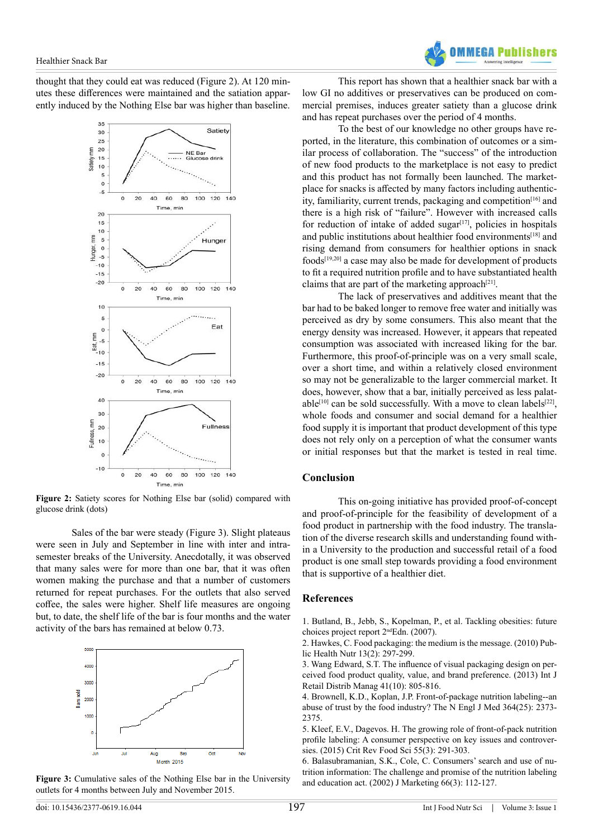thought that they could eat was reduced (Figure 2). At 120 minutes these differences were maintained and the satiation apparently induced by the Nothing Else bar was higher than baseline.



**Figure 2:** Satiety scores for Nothing Else bar (solid) compared with glucose drink (dots)

Sales of the bar were steady (Figure 3). Slight plateaus were seen in July and September in line with inter and intrasemester breaks of the University. Anecdotally, it was observed that many sales were for more than one bar, that it was often women making the purchase and that a number of customers returned for repeat purchases. For the outlets that also served coffee, the sales were higher. Shelf life measures are ongoing but, to date, the shelf life of the bar is four months and the water activity of the bars has remained at below 0.73.



**Figure 3:** Cumulative sales of the Nothing Else bar in the University outlets for 4 months between July and November 2015.

This report has shown that a healthier snack bar with a low GI no additives or preservatives can be produced on commercial premises, induces greater satiety than a glucose drink and has repeat purchases over the period of 4 months.

To the best of our knowledge no other groups have reported, in the literature, this combination of outcomes or a similar process of collaboration. The "success" of the introduction of new food products to the marketplace is not easy to predict and this product has not formally been launched. The marketplace for snacks is affected by many factors including authentic-ity, familiarity, current trends, packaging and competition<sup>[\[16\]](#page-3-8)</sup> and there is a high risk of "failure". However with increased calls for reduction of intake of added sugar $[17]$ , policies in hospitals and public institutions about healthier food environments<sup>[\[18\]](#page-3-10)</sup> and rising demand from consumers for healthier options in snack foods[\[19,20\]](#page-3-11) a case may also be made for development of products to fit a required nutrition profile and to have substantiated health claims that are part of the marketing approach $[21]$ .

The lack of preservatives and additives meant that the bar had to be baked longer to remove free water and initially was perceived as dry by some consumers. This also meant that the energy density was increased. However, it appears that repeated consumption was associated with increased liking for the bar. Furthermore, this proof-of-principle was on a very small scale, over a short time, and within a relatively closed environment so may not be generalizable to the larger commercial market. It does, however, show that a bar, initially perceived as less palatable<sup>[10]</sup> can be sold successfully. With a move to clean labels<sup>[22]</sup>, whole foods and consumer and social demand for a healthier food supply it is important that product development of this type does not rely only on a perception of what the consumer wants or initial responses but that the market is tested in real time.

#### **Conclusion**

This on-going initiative has provided proof-of-concept and proof-of-principle for the feasibility of development of a food product in partnership with the food industry. The translation of the diverse research skills and understanding found within a University to the production and successful retail of a food product is one small step towards providing a food environment that is supportive of a healthier diet.

#### **References**

<span id="page-2-0"></span>[1. Butland, B., Jebb, S., Kopelman, P., et al. Tackling obesities: future](https://www.gov.uk/government/uploads/system/uploads/attachment_data/file/287937/07-1184x-tackling-obesities-future-choices-report.pdf) choices project report 2<sup>nd</sup>Edn. (2007).

<span id="page-2-1"></span>[2. Hawkes, C. Food packaging: the medium is the message. \(2010\) Pub](http://www.ncbi.nlm.nih.gov/pubmed/20082735)[lic Health Nutr 13\(2\): 297-299.](http://www.ncbi.nlm.nih.gov/pubmed/20082735)

<span id="page-2-2"></span>[3. Wang Edward, S.T. The influence of visual packaging design on per](http://www.emeraldinsight.com/doi/abs/10.1108/IJRDM-12-2012-0113)[ceived food product quality, value, and brand preference. \(2013\) Int J](http://www.emeraldinsight.com/doi/abs/10.1108/IJRDM-12-2012-0113) [Retail Distrib Manag 41\(10\): 805-816.](http://www.emeraldinsight.com/doi/abs/10.1108/IJRDM-12-2012-0113)

<span id="page-2-3"></span>[4. Brownell, K.D., Koplan, J.P. Front-of-package nutrition labeling--an](http://www.nejm.org/doi/full/10.1056/NEJMp1101033) [abuse of trust by the food industry? The N Engl J Med 364\(25\): 2373-](http://www.nejm.org/doi/full/10.1056/NEJMp1101033) [2375.](http://www.nejm.org/doi/full/10.1056/NEJMp1101033)

[5. Kleef, E.V., Dagevos. H. The growing role of front-of-pack nutrition](http://www.ncbi.nlm.nih.gov/pubmed/24915389) [profile labeling: A consumer perspective on key issues and controver](http://www.ncbi.nlm.nih.gov/pubmed/24915389)[sies. \(2015\) Crit Rev Food Sci 55\(3\): 291-303.](http://www.ncbi.nlm.nih.gov/pubmed/24915389)

<span id="page-2-4"></span>[6. Balasubramanian, S.K., Cole, C. Consumers' search and use of nu](https://www.researchgate.net/publication/247837079_Consumers)[trition information: The challenge and promise of the nutrition labeling](https://www.researchgate.net/publication/247837079_Consumers) [and education act. \(2002\) J Marketing 66\(3\): 112-127.](https://www.researchgate.net/publication/247837079_Consumers)